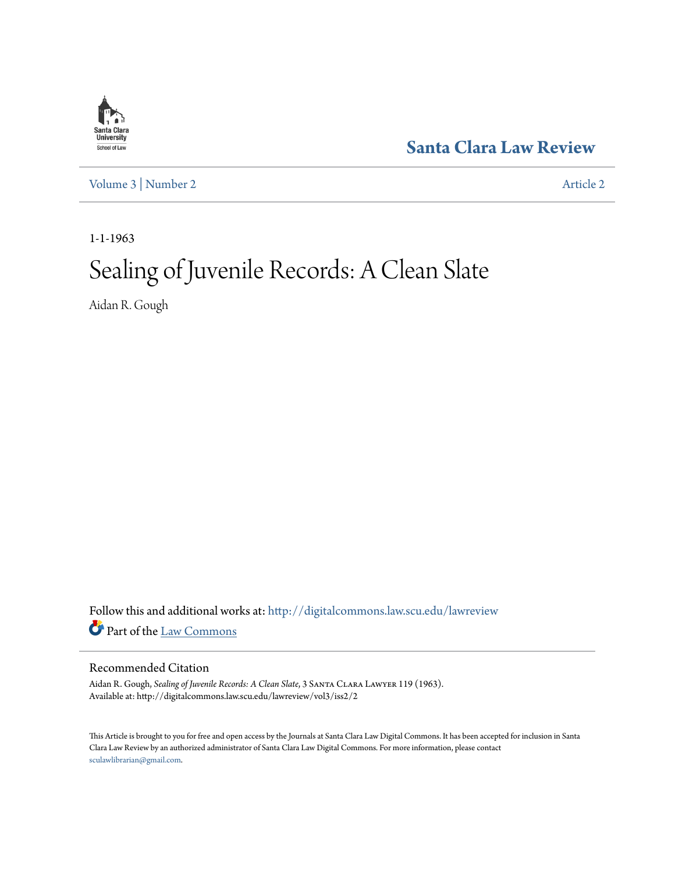

**[Santa Clara Law Review](http://digitalcommons.law.scu.edu/lawreview?utm_source=digitalcommons.law.scu.edu%2Flawreview%2Fvol3%2Fiss2%2F2&utm_medium=PDF&utm_campaign=PDFCoverPages)**

[Volume 3](http://digitalcommons.law.scu.edu/lawreview/vol3?utm_source=digitalcommons.law.scu.edu%2Flawreview%2Fvol3%2Fiss2%2F2&utm_medium=PDF&utm_campaign=PDFCoverPages) | [Number 2](http://digitalcommons.law.scu.edu/lawreview/vol3/iss2?utm_source=digitalcommons.law.scu.edu%2Flawreview%2Fvol3%2Fiss2%2F2&utm_medium=PDF&utm_campaign=PDFCoverPages) [Article 2](http://digitalcommons.law.scu.edu/lawreview/vol3/iss2/2?utm_source=digitalcommons.law.scu.edu%2Flawreview%2Fvol3%2Fiss2%2F2&utm_medium=PDF&utm_campaign=PDFCoverPages)

1-1-1963

# Sealing of Juvenile Records: A Clean Slate

Aidan R. Gough

Follow this and additional works at: [http://digitalcommons.law.scu.edu/lawreview](http://digitalcommons.law.scu.edu/lawreview?utm_source=digitalcommons.law.scu.edu%2Flawreview%2Fvol3%2Fiss2%2F2&utm_medium=PDF&utm_campaign=PDFCoverPages) Part of the [Law Commons](http://network.bepress.com/hgg/discipline/578?utm_source=digitalcommons.law.scu.edu%2Flawreview%2Fvol3%2Fiss2%2F2&utm_medium=PDF&utm_campaign=PDFCoverPages)

### Recommended Citation

Aidan R. Gough, *Sealing of Juvenile Records: A Clean Slate*, 3 Santa Clara Lawyer 119 (1963). Available at: http://digitalcommons.law.scu.edu/lawreview/vol3/iss2/2

This Article is brought to you for free and open access by the Journals at Santa Clara Law Digital Commons. It has been accepted for inclusion in Santa Clara Law Review by an authorized administrator of Santa Clara Law Digital Commons. For more information, please contact [sculawlibrarian@gmail.com](mailto:sculawlibrarian@gmail.com).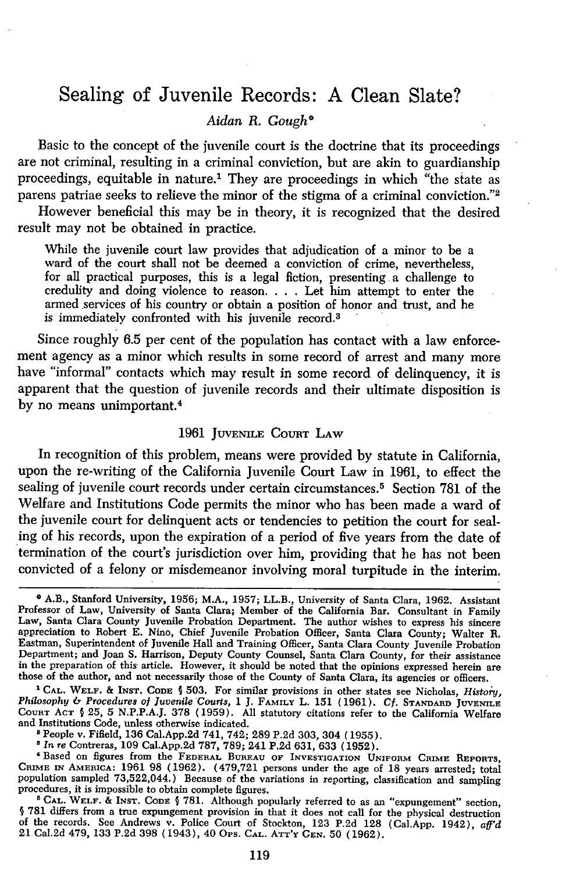## Sealing of Juvenile Records: **A** Clean Slate?

#### *Aidan R. Gough\**

Basic to the concept of the juvenile court is the doctrine that its proceedings are not criminal, resulting in a criminal conviction, but are akin to guardianship proceedings, equitable in nature.' They are proceedings in which "the state as parens patriae seeks to relieve the minor of the stigma of a criminal conviction."<sup>2</sup>

However beneficial this may be in theory, it is recognized that the desired result may not be obtained in practice.

While the juvenile court law provides that adjudication of a minor to be a ward of the court shall not be deemed a conviction of crime, nevertheless, for all practical purposes, this is a legal fiction, presenting a challenge to credulity and doing violence to reason. . **.** . Let him attempt to enter the armed services of his country or obtain a position of honor and trust, and he is immediately confronted with his juvenile record.<sup>3</sup>

Since roughly 6.5 per cent of the population has contact with a law enforcement agency as a minor which results in some record of arrest and many more have "informal" contacts which may result in some record of delinquency, it is apparent that the question of juvenile records and their ultimate disposition is by no means unimportant.<sup>4</sup>

#### 1961 **JUVENILE COURT** LAW

In recognition of this problem, means were provided by statute in California, upon the re-writing of the California Juvenile Court Law in 1961, to effect the sealing of juvenile court records under certain circumstances.<sup>5</sup> Section 781 of the Welfare and Institutions Code permits the minor who has been made a ward of the juvenile court for delinquent acts or tendencies to petition the court for sealing of his records, upon the expiration of a period of five years from the date of termination of the court's jurisdiction over him, providing that he has not been convicted of a felony or misdemeanor involving moral turpitude in the interim.

**1 CAL. WELF. & INST. CODE § 503.** For similar provisions in other states see Nicholas, *History, Philosophy & Procedures of Juvenile Courts,* 1 J. **FAMILY** L. 151 (1961). **Cf. STANDARD JUVENILE COURT ACT** § 25, **5** N.P.P.A.J. 378 (1959). All statutory citations refer to the California Welfare and Institutions Code, unless otherwise indicated.

People v. Fifield, 136 Cal.App.2d 741, 742; 289 P.2d 303, 304 (1955).<br>
<sup>8</sup> In re Contreras, 109 Cal.App.2d 787, 789; 241 P.2d 631, 633 (1952).<br>
<sup>8</sup> In re Contreras, 109 Cal.App.2d 787, 789; 241 P.2d 631, 633 (1952).<br>
<sup>4</sup> B

**CRIME IN AMERICA: 1961 98 (1962). (479,721** persons under the age of 18 years arrested; total population sampled 73,522,044.) Because of the variations in reporting, classification and sampling procedures, it is impossible to obtain complete figures.<br>
<sup>5</sup> CAL. WELF. & INST. CODE § 781. Although popularly referred t

§ **781** differs from a true expungement provision in that it does not call for the physical destruction of the records. See Andrews v. Police Court of Stockton, 123 **P.2d 128** (Cal.App. 1942), *aff'd* 21 Cal.2d 479, 133 **P.2d** 398 (1943), 40 Ops. **CAL. ATT'Y GEN.** 50 (1962).

<sup>&</sup>lt;sup>o</sup> A.B., Stanford University, 1956; M.A., 1957; LL.B., University of Santa Clara, 1962. Assistant Professor of Law, University of Santa Clara; Member of the California Bar. Consultant in Family<br>Law, Santa Clara County Juv appreciation to Robert E. Nino, Chief Juvenile Probation Officer, Santa Clara County; Walter B. Eastman, Superintendent of Juvenile Hall and Training Officer, Santa Clara County Juvenile Probation Department; and Joan S. Harrison, Deputy County Counsel, Santa Clara County, for their assistance in the preparation of this article. However, it should be noted that the opinions expressed herein are those of the author, and not necessarily those of the County of Santa Clara, its agencies or officers.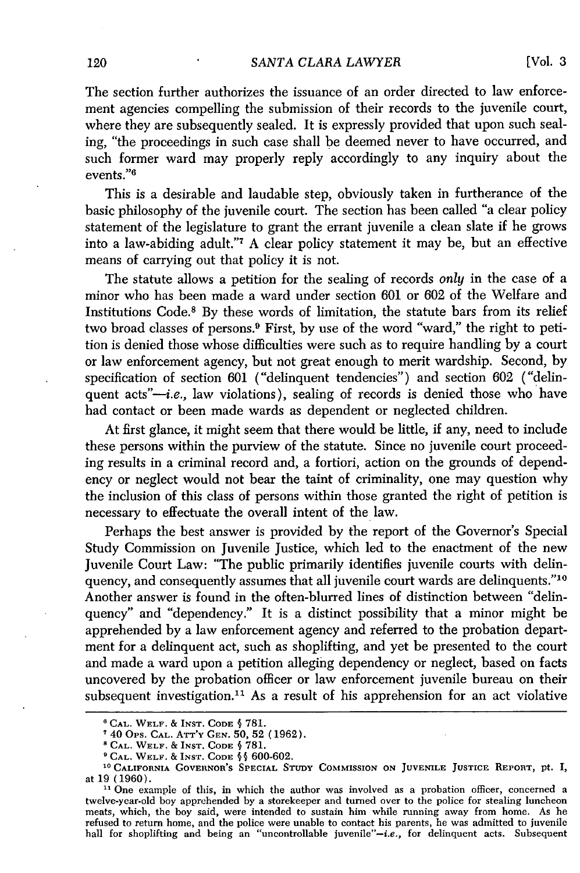The section further authorizes the issuance of an order directed to law enforcement agencies compelling the submission of their records to the juvenile court, where they are subsequently sealed. It is expressly provided that upon such sealing, "the proceedings in such case shall be deemed never to have occurred, and such former ward may properly reply accordingly to any inquiry about the events."6

This is a desirable and laudable step, obviously taken in furtherance of the basic philosophy of the juvenile court. The section has been called "a clear policy statement of the legislature to grant the errant juvenile a clean slate if he grows into a law-abiding adult."7 A clear policy statement it may be, but an effective means of carrying out that policy it is not.

The statute allows a petition for the sealing of records *only* in the case of a minor who has been made a ward under section 601 or 602 of the Welfare and Institutions Code.8 By these words of limitation, the statute bars from its relief two broad classes of persons.9 First, by use of the word "ward," the right to petition is denied those whose difficulties were such as to require handling by a court or law enforcement agency, but not great enough to merit wardship. Second, by specification of section 601 ("delinquent tendencies") and section 602 ("delinquent  $acts''-i.e.,$  law violations), sealing of records is denied those who have had contact or been made wards as dependent or neglected children.

At first glance, it might seem that there would be little, if any, need to include these persons within the purview of the statute. Since no juvenile court proceeding results in a criminal record and, a fortiori, action on the grounds of dependency or neglect would not bear the taint of criminality, one may question why the inclusion of this class of persons within those granted the right of petition is necessary to effectuate the overall intent of the law.

Perhaps the best answer is provided by the report of the Governor's Special Study Commission on Juvenile Justice, which led to the enactment of the new Juvenile Court Law: "The public primarily identifies juvenile courts with delinquency, and consequently assumes that all juvenile court wards are delinquents." <sup>10</sup> Another answer is found in the often-blurred lines of distinction between "delinquency" and "dependency." It is a distinct possibility that a minor might be apprehended by a law enforcement agency and referred to the probation department for a delinquent act, such as shoplifting, and yet be presented to the court and made a ward upon a petition alleging dependency or neglect, based on facts uncovered by the probation officer or law enforcement juvenile bureau on their subsequent investigation.<sup>11</sup> As a result of his apprehension for an act violative

**<sup>&#</sup>x27;CAL. WELF. & INST. CODE §** 781.

<sup>40</sup> Ops. **CAL. ATT'Y GEN. 50,** 52 (1962).

**<sup>8</sup>CAL. WELF.** & **INST. CODE** § 781.

**<sup>&#</sup>x27;CAL. WELF.** & **INST. CODE §** § 600-602.

**<sup>10</sup>CALIFORNIA** GOVERNOR'S **SPECIAL STrUY** COMMISSION **ON JUVENILE JUSTICE REPORT, pt. I,** at 19 (1960).

**<sup>11</sup>** One example of this, in which the author was involved as a probation officer, concerned a twelve-year-old boy apprehended by a storekeeper and turned over to the police for stealing luncheon meats, which, the boy said, were intended to sustain him while running away from home. As he refused to return home, and the police were unable to contact his parents, he was admitted to juvenile<br>hall for shoplifting and being an "uncontrollable juvenile"-*i.e.*, for delinquent acts. Subsequent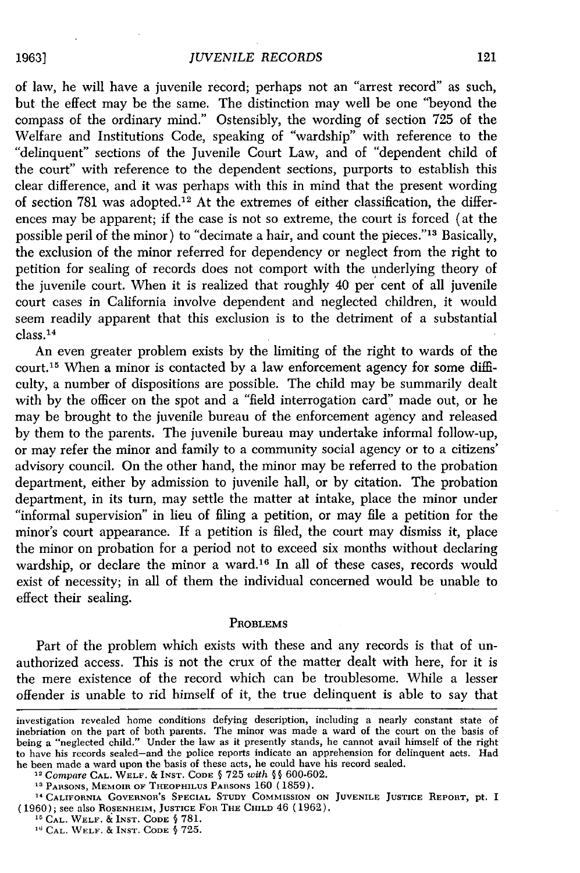of law, he will have a juvenile record; perhaps not an "arrest record" as such, but the effect may be the same. The distinction may well be one "beyond the compass of the ordinary mind." Ostensibly, the wording of section 725 of the Welfare and Institutions Code, speaking of "wardship" with reference to the "delinquent" sections of the Juvenile Court Law, and of "dependent child of the court" with reference to the dependent sections, purports to establish this clear difference, and it was perhaps with this in mind that the present wording of section 781 was adopted.<sup>12</sup> At the extremes of either classification, the differences may be apparent; if the case is not so extreme, the court is forced (at the possible peril of the minor) to "decimate a hair, and count the pieces."'13 Basically, the exclusion of the minor referred for dependency or neglect from the right to petition for sealing of records does not comport with the underlying theory of the juvenile court. When it is realized that roughly 40 per cent of all juvenile court cases in California involve dependent and neglected children, it would seem readily apparent that this exclusion is to the detriment of a substantial class. <sup>14</sup>

An even greater problem exists by the limiting of the right to wards of the court.<sup>15</sup> When a minor is contacted by a law enforcement agency for some difficulty, a number of dispositions are possible. The child may be summarily dealt with by the officer on the spot and a "field interrogation card" made out, or he may be brought to the juvenile bureau of the enforcement agency and released by them to the parents. The juvenile bureau may undertake informal follow-up, or may refer the minor and family to a community social agency or to a citizens' advisory council. On the other hand, the minor may be referred to the probation department, either by admission to juvenile hall, or by citation. The probation department, in its turn, may settle the matter at intake, place the minor under "informal supervision" in lieu of filing a petition, or may file a petition for the minor's court appearance. If a petition is filed, the court may dismiss it, place the minor on probation for a period not to exceed six months without declaring wardship, or declare the minor a ward.'6 In all of these cases, records would exist of necessity; in all of them the individual concerned would be unable to effect their sealing.

#### PROBLEMS

Part of the problem which exists with these and any records is that of unauthorized access. This is not the crux of the matter dealt with here, for it is the mere existence of the record which can be troublesome. While a lesser offender is unable to rid himself of it, the true delinquent is able to say that

investigation revealed home conditions defying description, including a nearly constant state of inebriation on the part of both parents. The minor was made a ward of the court on the basis of being a "neglected child." Under the law as it presently stands, he cannot avail himself of the right to have his records sealed-and the police reports indicate an apprehension for delinquent acts. Had he been made a ward upon the basis of these acts, he could have his record sealed. **<sup>12</sup>**Compare **CAL.** WELF. **&** INST. **CODE §** 725 *with* **§ §** 600-602.

**<sup>13</sup>PARSONS,** MEMOIR **OF THEOPHILUS PARSONS** 160 **(1859). 14 CALIFORNIA GOVERNOR'S SPECIAL STUDY COMMISSION ON JUVENILE JUSTICE REPORT,** pt. **<sup>I</sup> (1960); see also ROSENHEIM, JUSTICE FOR THE CHILD** 46 **(1962).**

**<sup>15</sup>CAL.** WELF. **& INST. CODE §** 781.

**CAL. WELF. & INST. CODE §** 725.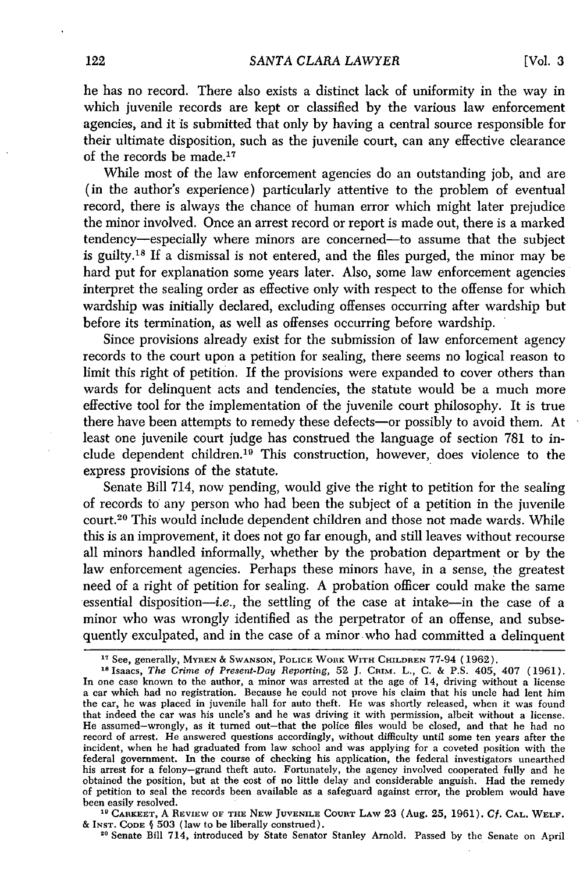he has no record. There also exists a distinct lack of uniformity in the way in which juvenile records are kept or classified by the various law enforcement agencies, and it is submitted that only by having a central source responsible for their ultimate disposition, such as the juvenile court, can any effective clearance of the records be made.<sup>17</sup>

While most of the law enforcement agencies do an outstanding job, and are (in the author's experience) particularly attentive to the problem of eventual record, there is always the chance of human error which might later prejudice the minor involved. Once an arrest record or report is made out, there is a marked tendency-especially where minors are concerned-to assume that the subject is guilty.18 If a dismissal is not entered, and the files purged, the minor may be hard put for explanation some years later. Also, some law enforcement agencies interpret the sealing order as effective only with respect to the offense for which wardship was initially declared, excluding offenses occurring after wardship but before its termination, as well as offenses occurring before wardship.

Since provisions already exist for the submission of law enforcement agency records to the court upon a petition for sealing, there seems no logical reason to limit this right of petition. If the provisions were expanded to cover others than wards for delinquent acts and tendencies, the statute would be a much more effective tool for the implementation of the juvenile court philosophy. It is true there have been attempts to remedy these defects—or possibly to avoid them. At least one juvenile court judge has construed the language of section 781 to include dependent children.<sup>19</sup> This construction, however, does violence to the express provisions of the statute.

Senate Bill 714, now pending, would give the right to petition for the sealing of records to any person who had been the subject of a petition in the juvenile court.20 This would include dependent children and those not made wards. While this is an improvement, it does not go far enough, and still leaves without recourse all minors handled informally, whether by the probation department or by the law enforcement agencies. Perhaps these minors have, in a sense, the greatest need of a right of petition for sealing. A probation officer could make the same essential disposition—*i.e.*, the settling of the case at intake—in the case of a minor who was wrongly identified as the perpetrator of an offense, and subsequently exculpated, and in the case of a minor who had committed a delinquent

**"' CARKEET, A REVIEW OF THE NEW JUVENILE COURT LAW** 23 (Aug. **25,** 1961). *Cf.* **CAL. WELF. & INST. CODE § 503** (law **to** be **liberally** construed).

20 Senate Bill 714, introduced **by** State Senator Stanley Arnold. Passed **by** the Senate on April

**<sup>&</sup>quot;7** See, generally, MYREN **& SWANSON,** POLICE WORK WITH CHILDREN 77-94 (1962).

**<sup>18</sup>**Isaacs, *The Crime of Present-Day Reporting,* 52 J. **CRIM.** L., C. & P.S. 405, 407 (1961). In one case known to the author, a minor was arrested at the age of 14, driving without a license a car which had no registration. Because he could not prove his claim that his uncle had lent him the car, he was placed in juvenile hall for auto theft. He was shortly released, when it was found that indeed the car was his uncle's and he was driving it with permission, albeit without a license. He assumed-wrongly, as it turned out-that the police files would be closed, and that he had no record of arrest. He answered questions accordingly, without difficulty until some ten years after the incident, when he had graduated from law school and was applying for a coveted position with the federal government. In the course of checking his application, the federal investigators unearthed his arrest for a felony-grand theft auto. Fortunately, the agency involved cooperated fully and he obtained the position, but at the cost of no little delay and considerable anguish. Had the remedy of petition to seal the records been available as a safeguard against error, the problem would have been easily resolved.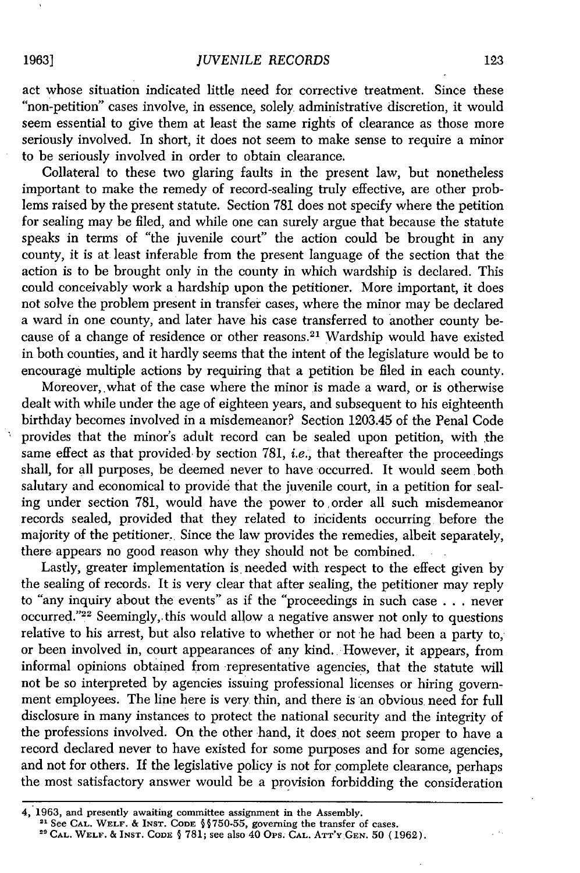act whose situation indicated little need for corrective treatment. Since these "non-petition" cases involve, in essence, solely administrative discretion, it would seem essential to give them at least the same rights of clearance as those more seriously involved. In short, it does not seem to make sense to require a minor to be seriously involved in order to obtain clearance.

Collateral to these two glaring faults in the present law, but nonetheless important to make the remedy of record-sealing truly effective, are other problems raised by the present statute. Section 781 does not specify where the petition for sealing may be filed, and while one can surely argue that because the statute speaks in terms of "the juvenile court" the action could be brought in any county, it is at least inferable from the present language of the section that the action is to be brought only in the county in which wardship is declared. This could conceivably work a hardship upon the petitioner. More important, it does not solve the problem present in transfer cases, where the minor may be declared a ward in one county, and later have his case transferred to another county because of a change of residence or other reasons.<sup>21</sup> Wardship would have existed in both counties, and it hardly seems that the intent of the legislature would be to encourage multiple actions by requiring that a petition be filed in each county.

Moreover,.what of the case where the minor is made a ward, or is otherwise dealt with while under the age of eighteen years, and subsequent to his eighteenth birthday becomes involved in a misdemeanor? Section 1203.45 of the Penal Code provides that the minor's adult record can be sealed upon petition, with the same effect as that provided by section 781, *i.e.*, that thereafter the proceedings shall, for all purposes, be deemed never to have occurred. It would seem both salutary and economical to provide that the juvenile court, in a petition for sealing under section 781, would have the power to ,order all such misdemeanor records sealed, provided that they related to incidents occurring before the majority of the petitioner. Since the law provides the remedies, albeit separately, there appears no good reason why they should not be combined.

Lastly, greater implementation is needed with respect to the effect given by the sealing of records. It is very clear that after sealing, the petitioner may reply to "any inquiry about the events" as if the "proceedings in such case . . . never occurred."<sup>22</sup> Seemingly, this would allow a negative answer not only to questions relative to his arrest, but also relative to whether or not he had been a party to, or been involved in, court appearances of any kind. However, it appears, from informal opinions obtained from representative agencies, that the statute will not be so interpreted by agencies issuing professional licenses or hiring government employees. The line here is very thin, and there is an obvious need for full disclosure in many instances to protect the national security and the integrity of the professions involved. On the other hand, it does not seem proper to have a record declared never to have existed for some purposes and for some agencies, and not for others. If the legislative policy is not for complete clearance, perhaps the most satisfactory answer would be a provision forbidding the consideration

#### **19631**

<sup>1963,</sup> and presently awaiting committee assignment in the Assembly. **21** See **CAL. WELF. & INST. CODE §§750-55,** governing the transfer of cases. **"CAL. WELF. & INST. CODE § 781;** see also 40 **Ops. CAL. ATT'Y GEN.** 50 (1962).